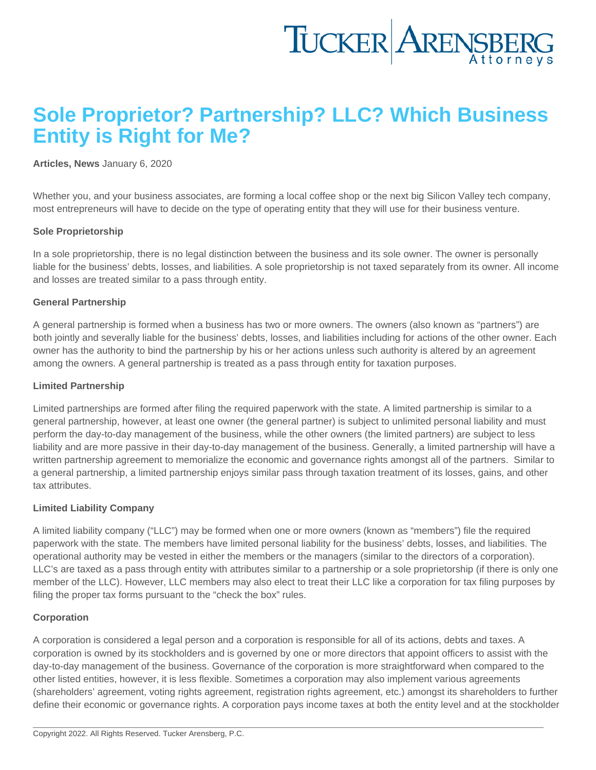# Sole Proprietor? Partnership? LLC? Which Business Entity is Right for Me?

## [Articles](https://www.tuckerlaw.com/category/articles/) , [News](https://www.tuckerlaw.com/category/news/) January 6, 2020

Whether you, and your business associates, are forming a local coffee shop or the next big Silicon Valley tech company, most entrepreneurs will have to decide on the type of operating entity that they will use for their business venture.

#### Sole Proprietorship

In a sole proprietorship, there is no legal distinction between the business and its sole owner. The owner is personally liable for the business' debts, losses, and liabilities. A sole proprietorship is not taxed separately from its owner. All income and losses are treated similar to a pass through entity.

### General Partnership

A general partnership is formed when a business has two or more owners. The owners (also known as "partners") are both jointly and severally liable for the business' debts, losses, and liabilities including for actions of the other owner. Each owner has the authority to bind the partnership by his or her actions unless such authority is altered by an agreement among the owners. A general partnership is treated as a pass through entity for taxation purposes.

#### Limited Partnership

Limited partnerships are formed after filing the required paperwork with the state. A limited partnership is similar to a general partnership, however, at least one owner (the general partner) is subject to unlimited personal liability and must perform the day-to-day management of the business, while the other owners (the limited partners) are subject to less liability and are more passive in their day-to-day management of the business. Generally, a limited partnership will have a written partnership agreement to memorialize the economic and governance rights amongst all of the partners. Similar to a general partnership, a limited partnership enjoys similar pass through taxation treatment of its losses, gains, and other tax attributes.

#### Limited Liability Company

A limited liability company ("LLC") may be formed when one or more owners (known as "members") file the required paperwork with the state. The members have limited personal liability for the business' debts, losses, and liabilities. The operational authority may be vested in either the members or the managers (similar to the directors of a corporation). LLC's are taxed as a pass through entity with attributes similar to a partnership or a sole proprietorship (if there is only one member of the LLC). However, LLC members may also elect to treat their LLC like a corporation for tax filing purposes by filing the proper tax forms pursuant to the "check the box" rules.

#### Corporation

A corporation is considered a legal person and a corporation is responsible for all of its actions, debts and taxes. A corporation is owned by its stockholders and is governed by one or more directors that appoint officers to assist with the day-to-day management of the business. Governance of the corporation is more straightforward when compared to the other listed entities, however, it is less flexible. Sometimes a corporation may also implement various agreements (shareholders' agreement, voting rights agreement, registration rights agreement, etc.) amongst its shareholders to further define their economic or governance rights. A corporation pays income taxes at both the entity level and at the stockholder